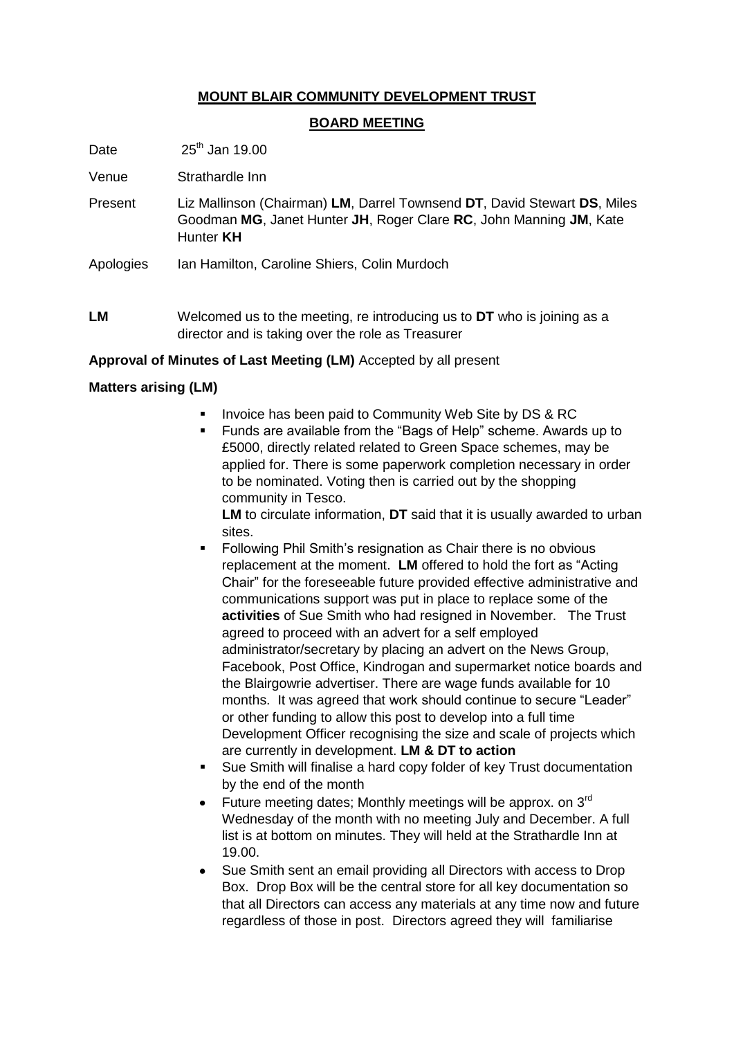# **MOUNT BLAIR COMMUNITY DEVELOPMENT TRUST**

#### **BOARD MEETING**

Date  $25^{\text{th}}$  Jan 19.00

Venue Strathardle Inn

- Present Liz Mallinson (Chairman) **LM**, Darrel Townsend **DT**, David Stewart **DS**, Miles Goodman **MG**, Janet Hunter **JH**, Roger Clare **RC**, John Manning **JM**, Kate Hunter **KH**
- Apologies Ian Hamilton, Caroline Shiers, Colin Murdoch
- **LM** Welcomed us to the meeting, re introducing us to **DT** who is joining as a director and is taking over the role as Treasurer

#### **Approval of Minutes of Last Meeting (LM)** Accepted by all present

### **Matters arising (LM)**

- **Invoice has been paid to Community Web Site by DS & RC**
- Funds are available from the "Bags of Help" scheme. Awards up to £5000, directly related related to Green Space schemes, may be applied for. There is some paperwork completion necessary in order to be nominated. Voting then is carried out by the shopping community in Tesco.

**LM** to circulate information, **DT** said that it is usually awarded to urban sites.

- **Following Phil Smith's resignation as Chair there is no obvious** replacement at the moment. **LM** offered to hold the fort as "Acting Chair" for the foreseeable future provided effective administrative and communications support was put in place to replace some of the **activities** of Sue Smith who had resigned in November. The Trust agreed to proceed with an advert for a self employed administrator/secretary by placing an advert on the News Group, Facebook, Post Office, Kindrogan and supermarket notice boards and the Blairgowrie advertiser. There are wage funds available for 10 months. It was agreed that work should continue to secure "Leader" or other funding to allow this post to develop into a full time Development Officer recognising the size and scale of projects which are currently in development. **LM & DT to action**
- Sue Smith will finalise a hard copy folder of key Trust documentation by the end of the month
- Future meeting dates; Monthly meetings will be approx. on 3rd Wednesday of the month with no meeting July and December. A full list is at bottom on minutes. They will held at the Strathardle Inn at 19.00.
- Sue Smith sent an email providing all Directors with access to Drop  $\bullet$ Box. Drop Box will be the central store for all key documentation so that all Directors can access any materials at any time now and future regardless of those in post. Directors agreed they will familiarise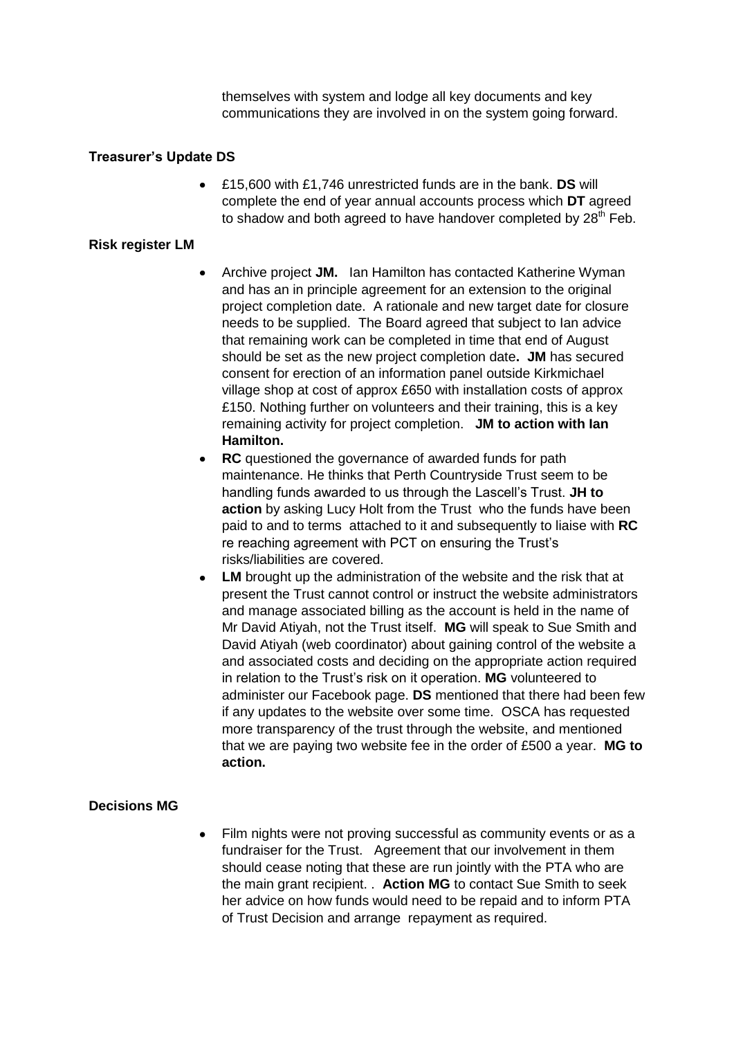themselves with system and lodge all key documents and key communications they are involved in on the system going forward.

#### **Treasurer's Update DS**

£15,600 with £1,746 unrestricted funds are in the bank. **DS** will complete the end of year annual accounts process which **DT** agreed to shadow and both agreed to have handover completed by  $28<sup>th</sup>$  Feb.

#### **Risk register LM**

- Archive project **JM.** Ian Hamilton has contacted Katherine Wyman and has an in principle agreement for an extension to the original project completion date. A rationale and new target date for closure needs to be supplied. The Board agreed that subject to Ian advice that remaining work can be completed in time that end of August should be set as the new project completion date**. JM** has secured consent for erection of an information panel outside Kirkmichael village shop at cost of approx £650 with installation costs of approx £150. Nothing further on volunteers and their training, this is a key remaining activity for project completion. **JM to action with Ian Hamilton.**
- **RC** questioned the governance of awarded funds for path  $\bullet$ maintenance. He thinks that Perth Countryside Trust seem to be handling funds awarded to us through the Lascell's Trust. **JH to action** by asking Lucy Holt from the Trust who the funds have been paid to and to terms attached to it and subsequently to liaise with **RC**  re reaching agreement with PCT on ensuring the Trust's risks/liabilities are covered.
- **LM** brought up the administration of the website and the risk that at  $\bullet$ present the Trust cannot control or instruct the website administrators and manage associated billing as the account is held in the name of Mr David Atiyah, not the Trust itself. **MG** will speak to Sue Smith and David Atiyah (web coordinator) about gaining control of the website a and associated costs and deciding on the appropriate action required in relation to the Trust's risk on it operation. **MG** volunteered to administer our Facebook page. **DS** mentioned that there had been few if any updates to the website over some time. OSCA has requested more transparency of the trust through the website, and mentioned that we are paying two website fee in the order of £500 a year. **MG to action.**

### **Decisions MG**

 $\bullet$ Film nights were not proving successful as community events or as a fundraiser for the Trust. Agreement that our involvement in them should cease noting that these are run jointly with the PTA who are the main grant recipient. . **Action MG** to contact Sue Smith to seek her advice on how funds would need to be repaid and to inform PTA of Trust Decision and arrange repayment as required.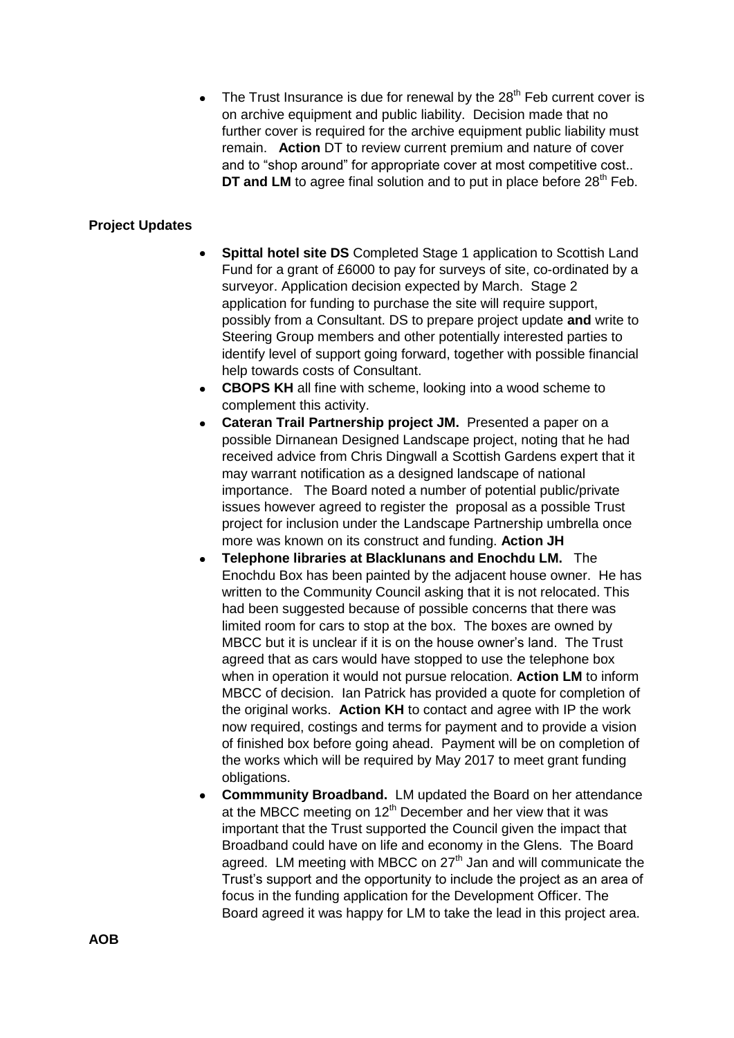The Trust Insurance is due for renewal by the  $28<sup>th</sup>$  Feb current cover is  $\bullet$ on archive equipment and public liability. Decision made that no further cover is required for the archive equipment public liability must remain. **Action** DT to review current premium and nature of cover and to "shop around" for appropriate cover at most competitive cost.. **DT and LM** to agree final solution and to put in place before 28<sup>th</sup> Feb.

## **Project Updates**

- **Spittal hotel site DS** Completed Stage 1 application to Scottish Land Fund for a grant of £6000 to pay for surveys of site, co-ordinated by a surveyor. Application decision expected by March. Stage 2 application for funding to purchase the site will require support, possibly from a Consultant. DS to prepare project update **and** write to Steering Group members and other potentially interested parties to identify level of support going forward, together with possible financial help towards costs of Consultant.
- **CBOPS KH** all fine with scheme, looking into a wood scheme to  $\bullet$ complement this activity.
- **Cateran Trail Partnership project JM.** Presented a paper on a possible Dirnanean Designed Landscape project, noting that he had received advice from Chris Dingwall a Scottish Gardens expert that it may warrant notification as a designed landscape of national importance. The Board noted a number of potential public/private issues however agreed to register the proposal as a possible Trust project for inclusion under the Landscape Partnership umbrella once more was known on its construct and funding. **Action JH**
- **Telephone libraries at Blacklunans and Enochdu LM.** The  $\bullet$ Enochdu Box has been painted by the adjacent house owner. He has written to the Community Council asking that it is not relocated. This had been suggested because of possible concerns that there was limited room for cars to stop at the box. The boxes are owned by MBCC but it is unclear if it is on the house owner's land. The Trust agreed that as cars would have stopped to use the telephone box when in operation it would not pursue relocation. **Action LM** to inform MBCC of decision. Ian Patrick has provided a quote for completion of the original works. **Action KH** to contact and agree with IP the work now required, costings and terms for payment and to provide a vision of finished box before going ahead. Payment will be on completion of the works which will be required by May 2017 to meet grant funding obligations.
- **Commmunity Broadband.** LM updated the Board on her attendance  $\bullet$ at the MBCC meeting on  $12<sup>th</sup>$  December and her view that it was important that the Trust supported the Council given the impact that Broadband could have on life and economy in the Glens. The Board agreed. LM meeting with MBCC on  $27<sup>th</sup>$  Jan and will communicate the Trust's support and the opportunity to include the project as an area of focus in the funding application for the Development Officer. The Board agreed it was happy for LM to take the lead in this project area.